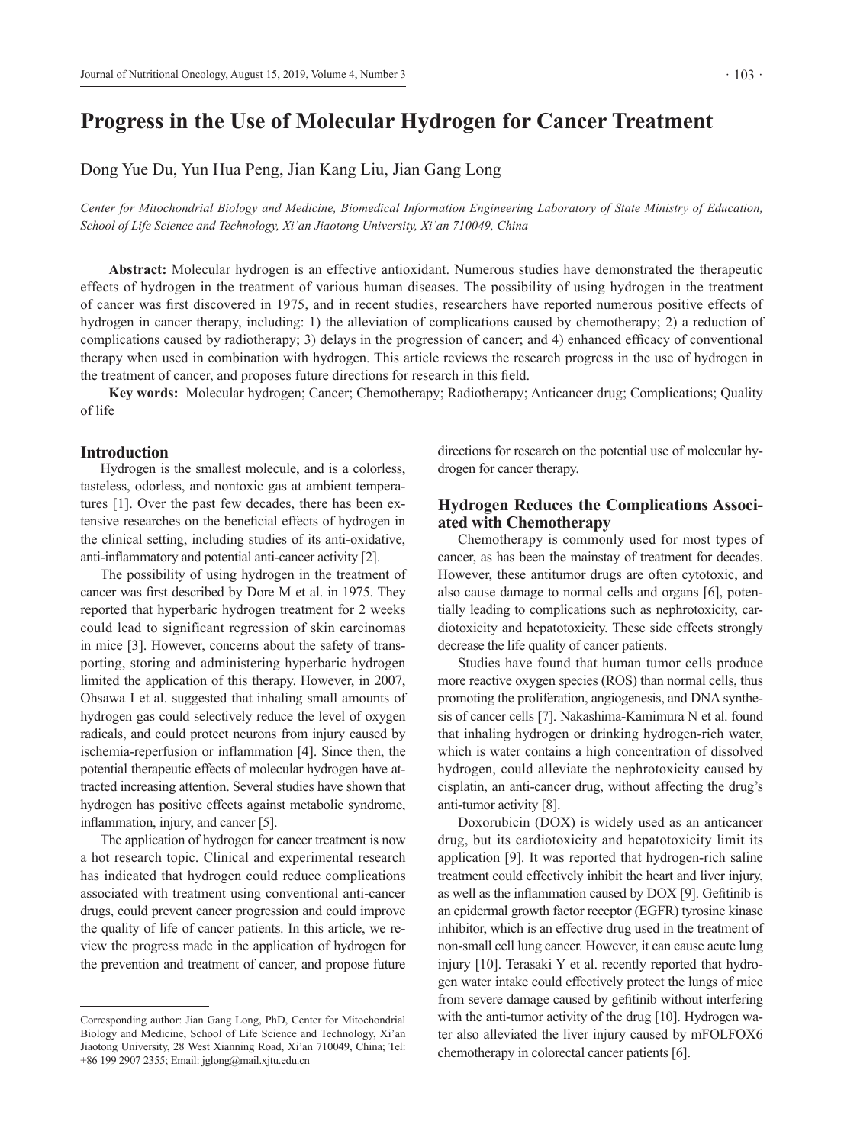# **Progress in the Use of Molecular Hydrogen for Cancer Treatment**

Dong Yue Du, Yun Hua Peng, Jian Kang Liu, Jian Gang Long

*Center for Mitochondrial Biology and Medicine, Biomedical Information Engineering Laboratory of State Ministry of Education, School of Life Science and Technology, Xi'an Jiaotong University, Xi'an 710049, China* 

 **Abstract:** Molecular hydrogen is an effective antioxidant. Numerous studies have demonstrated the therapeutic effects of hydrogen in the treatment of various human diseases. The possibility of using hydrogen in the treatment of cancer was first discovered in 1975, and in recent studies, researchers have reported numerous positive effects of hydrogen in cancer therapy, including: 1) the alleviation of complications caused by chemotherapy; 2) a reduction of complications caused by radiotherapy; 3) delays in the progression of cancer; and 4) enhanced efficacy of conventional therapy when used in combination with hydrogen. This article reviews the research progress in the use of hydrogen in the treatment of cancer, and proposes future directions for research in this field.

 **Key words:** Molecular hydrogen; Cancer; Chemotherapy; Radiotherapy; Anticancer drug; Complications; Quality of life

### **Introduction**

Hydrogen is the smallest molecule, and is a colorless, tasteless, odorless, and nontoxic gas at ambient temperatures [1]. Over the past few decades, there has been extensive researches on the beneficial effects of hydrogen in the clinical setting, including studies of its anti-oxidative, anti-inflammatory and potential anti-cancer activity [2].

The possibility of using hydrogen in the treatment of cancer was first described by Dore M et al. in 1975. They reported that hyperbaric hydrogen treatment for 2 weeks could lead to significant regression of skin carcinomas in mice [3]. However, concerns about the safety of transporting, storing and administering hyperbaric hydrogen limited the application of this therapy. However, in 2007, Ohsawa I et al. suggested that inhaling small amounts of hydrogen gas could selectively reduce the level of oxygen radicals, and could protect neurons from injury caused by ischemia-reperfusion or inflammation [4]. Since then, the potential therapeutic effects of molecular hydrogen have attracted increasing attention. Several studies have shown that hydrogen has positive effects against metabolic syndrome, inflammation, injury, and cancer [5].

The application of hydrogen for cancer treatment is now a hot research topic. Clinical and experimental research has indicated that hydrogen could reduce complications associated with treatment using conventional anti-cancer drugs, could prevent cancer progression and could improve the quality of life of cancer patients. In this article, we review the progress made in the application of hydrogen for the prevention and treatment of cancer, and propose future directions for research on the potential use of molecular hydrogen for cancer therapy.

# **Hydrogen Reduces the Complications Associated with Chemotherapy**

Chemotherapy is commonly used for most types of cancer, as has been the mainstay of treatment for decades. However, these antitumor drugs are often cytotoxic, and also cause damage to normal cells and organs [6], potentially leading to complications such as nephrotoxicity, cardiotoxicity and hepatotoxicity. These side effects strongly decrease the life quality of cancer patients.

Studies have found that human tumor cells produce more reactive oxygen species (ROS) than normal cells, thus promoting the proliferation, angiogenesis, and DNA synthesis of cancer cells [7]. Nakashima-Kamimura N et al. found that inhaling hydrogen or drinking hydrogen-rich water, which is water contains a high concentration of dissolved hydrogen, could alleviate the nephrotoxicity caused by cisplatin, an anti-cancer drug, without affecting the drug's anti-tumor activity [8].

Doxorubicin (DOX) is widely used as an anticancer drug, but its cardiotoxicity and hepatotoxicity limit its application [9]. It was reported that hydrogen-rich saline treatment could effectively inhibit the heart and liver injury, as well as the inflammation caused by DOX [9]. Gefitinib is an epidermal growth factor receptor (EGFR) tyrosine kinase inhibitor, which is an effective drug used in the treatment of non-small cell lung cancer. However, it can cause acute lung injury [10]. Terasaki Y et al. recently reported that hydrogen water intake could effectively protect the lungs of mice from severe damage caused by gefitinib without interfering with the anti-tumor activity of the drug [10]. Hydrogen water also alleviated the liver injury caused by mFOLFOX6 chemotherapy in colorectal cancer patients [6].

Corresponding author: Jian Gang Long, PhD, Center for Mitochondrial Biology and Medicine, School of Life Science and Technology, Xi'an Jiaotong University, 28 West Xianning Road, Xi'an 710049, China; Tel: +86 199 2907 2355; Email: jglong@mail.xjtu.edu.cn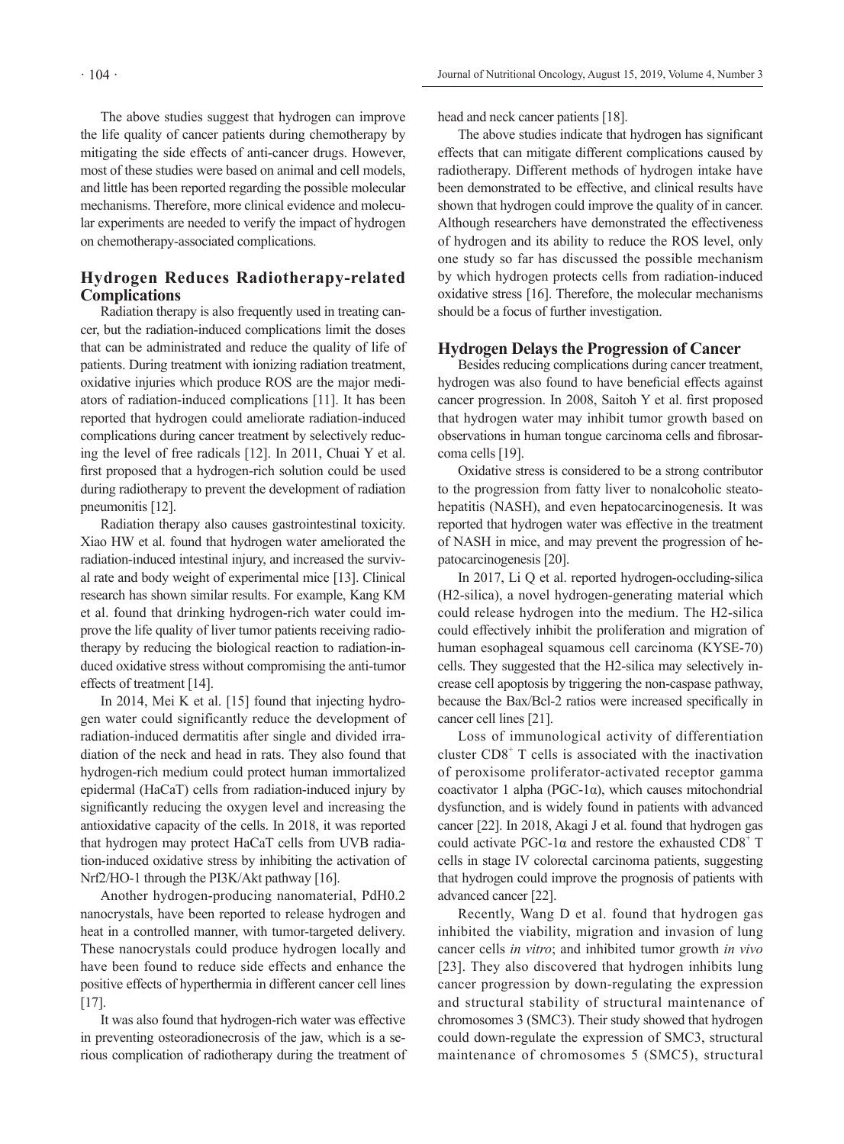The above studies suggest that hydrogen can improve the life quality of cancer patients during chemotherapy by mitigating the side effects of anti-cancer drugs. However, most of these studies were based on animal and cell models, and little has been reported regarding the possible molecular mechanisms. Therefore, more clinical evidence and molecular experiments are needed to verify the impact of hydrogen on chemotherapy-associated complications.

# **Hydrogen Reduces Radiotherapy-related Complications**

Radiation therapy is also frequently used in treating cancer, but the radiation-induced complications limit the doses that can be administrated and reduce the quality of life of patients. During treatment with ionizing radiation treatment, oxidative injuries which produce ROS are the major mediators of radiation-induced complications [11]. It has been reported that hydrogen could ameliorate radiation-induced complications during cancer treatment by selectively reducing the level of free radicals [12]. In 2011, Chuai Y et al. first proposed that a hydrogen-rich solution could be used during radiotherapy to prevent the development of radiation pneumonitis [12].

Radiation therapy also causes gastrointestinal toxicity. Xiao HW et al. found that hydrogen water ameliorated the radiation-induced intestinal injury, and increased the survival rate and body weight of experimental mice [13]. Clinical research has shown similar results. For example, Kang KM et al. found that drinking hydrogen-rich water could improve the life quality of liver tumor patients receiving radiotherapy by reducing the biological reaction to radiation-induced oxidative stress without compromising the anti-tumor effects of treatment [14].

In 2014, Mei K et al. [15] found that injecting hydrogen water could significantly reduce the development of radiation-induced dermatitis after single and divided irradiation of the neck and head in rats. They also found that hydrogen-rich medium could protect human immortalized epidermal (HaCaT) cells from radiation-induced injury by significantly reducing the oxygen level and increasing the antioxidative capacity of the cells. In 2018, it was reported that hydrogen may protect HaCaT cells from UVB radiation-induced oxidative stress by inhibiting the activation of Nrf2/HO-1 through the PI3K/Akt pathway [16].

Another hydrogen-producing nanomaterial, PdH0.2 nanocrystals, have been reported to release hydrogen and heat in a controlled manner, with tumor-targeted delivery. These nanocrystals could produce hydrogen locally and have been found to reduce side effects and enhance the positive effects of hyperthermia in different cancer cell lines [17].

It was also found that hydrogen-rich water was effective in preventing osteoradionecrosis of the jaw, which is a serious complication of radiotherapy during the treatment of head and neck cancer patients [18].

The above studies indicate that hydrogen has significant effects that can mitigate different complications caused by radiotherapy. Different methods of hydrogen intake have been demonstrated to be effective, and clinical results have shown that hydrogen could improve the quality of in cancer. Although researchers have demonstrated the effectiveness of hydrogen and its ability to reduce the ROS level, only one study so far has discussed the possible mechanism by which hydrogen protects cells from radiation-induced oxidative stress [16]. Therefore, the molecular mechanisms should be a focus of further investigation.

## **Hydrogen Delays the Progression of Cancer**

Besides reducing complications during cancer treatment, hydrogen was also found to have beneficial effects against cancer progression. In 2008, Saitoh Y et al. first proposed that hydrogen water may inhibit tumor growth based on observations in human tongue carcinoma cells and fibrosarcoma cells [19].

Oxidative stress is considered to be a strong contributor to the progression from fatty liver to nonalcoholic steatohepatitis (NASH), and even hepatocarcinogenesis. It was reported that hydrogen water was effective in the treatment of NASH in mice, and may prevent the progression of hepatocarcinogenesis [20].

In 2017, Li Q et al. reported hydrogen-occluding-silica (H2-silica), a novel hydrogen-generating material which could release hydrogen into the medium. The H2-silica could effectively inhibit the proliferation and migration of human esophageal squamous cell carcinoma (KYSE-70) cells. They suggested that the H2-silica may selectively increase cell apoptosis by triggering the non-caspase pathway, because the Bax/Bcl-2 ratios were increased specifically in cancer cell lines [21].

Loss of immunological activity of differentiation cluster  $CD8<sup>+</sup>$  T cells is associated with the inactivation of peroxisome proliferator-activated receptor gamma coactivator 1 alpha (PGC-1α), which causes mitochondrial dysfunction, and is widely found in patients with advanced cancer [22]. In 2018, Akagi J et al. found that hydrogen gas could activate PGC-1 $\alpha$  and restore the exhausted CD8<sup>+</sup> T cells in stage IV colorectal carcinoma patients, suggesting that hydrogen could improve the prognosis of patients with advanced cancer [22].

Recently, Wang D et al. found that hydrogen gas inhibited the viability, migration and invasion of lung cancer cells *in vitro*; and inhibited tumor growth *in vivo* [23]. They also discovered that hydrogen inhibits lung cancer progression by down-regulating the expression and structural stability of structural maintenance of chromosomes 3 (SMC3). Their study showed that hydrogen could down-regulate the expression of SMC3, structural maintenance of chromosomes 5 (SMC5), structural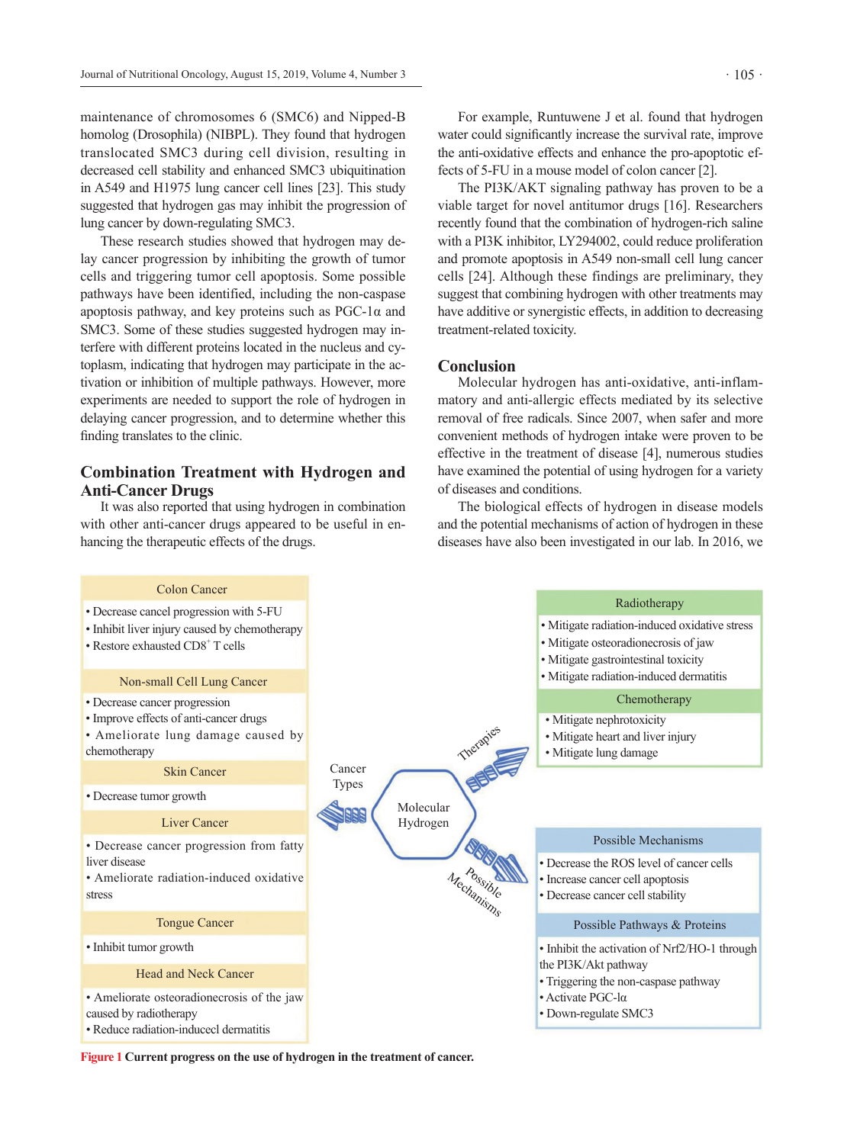maintenance of chromosomes 6 (SMC6) and Nipped-B homolog (Drosophila) (NIBPL). They found that hydrogen translocated SMC3 during cell division, resulting in decreased cell stability and enhanced SMC3 ubiquitination in A549 and H1975 lung cancer cell lines [23]. This study suggested that hydrogen gas may inhibit the progression of lung cancer by down-regulating SMC3.

These research studies showed that hydrogen may delay cancer progression by inhibiting the growth of tumor cells and triggering tumor cell apoptosis. Some possible pathways have been identified, including the non-caspase apoptosis pathway, and key proteins such as  $PGC-1\alpha$  and SMC3. Some of these studies suggested hydrogen may interfere with different proteins located in the nucleus and cytoplasm, indicating that hydrogen may participate in the activation or inhibition of multiple pathways. However, more experiments are needed to support the role of hydrogen in delaying cancer progression, and to determine whether this finding translates to the clinic.

## **Combination Treatment with Hydrogen and Anti-Cancer Drugs**

It was also reported that using hydrogen in combination with other anti-cancer drugs appeared to be useful in enhancing the therapeutic effects of the drugs.

For example, Runtuwene J et al. found that hydrogen water could significantly increase the survival rate, improve the anti-oxidative effects and enhance the pro-apoptotic effects of 5-FU in a mouse model of colon cancer [2].

The PI3K/AKT signaling pathway has proven to be a viable target for novel antitumor drugs [16]. Researchers recently found that the combination of hydrogen-rich saline with a PI3K inhibitor, LY294002, could reduce proliferation and promote apoptosis in A549 non-small cell lung cancer cells [24]. Although these findings are preliminary, they suggest that combining hydrogen with other treatments may have additive or synergistic effects, in addition to decreasing treatment-related toxicity.

### **Conclusion**

Molecular hydrogen has anti-oxidative, anti-inflammatory and anti-allergic effects mediated by its selective removal of free radicals. Since 2007, when safer and more convenient methods of hydrogen intake were proven to be effective in the treatment of disease [4], numerous studies have examined the potential of using hydrogen for a variety of diseases and conditions.

The biological effects of hydrogen in disease models and the potential mechanisms of action of hydrogen in these diseases have also been investigated in our lab. In 2016, we



**Figure 1 Current progress on the use of hydrogen in the treatment of cancer.**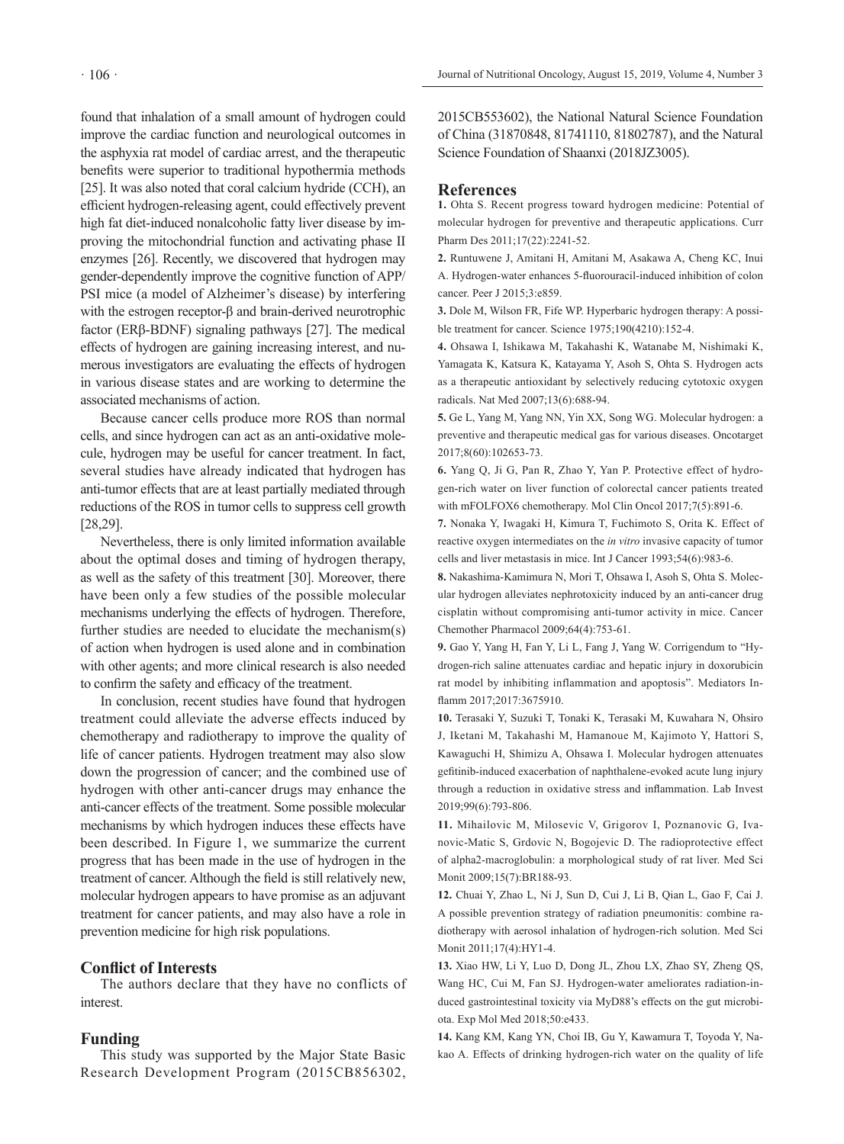found that inhalation of a small amount of hydrogen could improve the cardiac function and neurological outcomes in the asphyxia rat model of cardiac arrest, and the therapeutic benefits were superior to traditional hypothermia methods [25]. It was also noted that coral calcium hydride (CCH), an efficient hydrogen-releasing agent, could effectively prevent high fat diet-induced nonalcoholic fatty liver disease by improving the mitochondrial function and activating phase II enzymes [26]. Recently, we discovered that hydrogen may gender-dependently improve the cognitive function of APP/ PSI mice (a model of Alzheimer's disease) by interfering with the estrogen receptor-β and brain-derived neurotrophic factor (ERβ-BDNF) signaling pathways [27]. The medical effects of hydrogen are gaining increasing interest, and numerous investigators are evaluating the effects of hydrogen in various disease states and are working to determine the associated mechanisms of action.

Because cancer cells produce more ROS than normal cells, and since hydrogen can act as an anti-oxidative molecule, hydrogen may be useful for cancer treatment. In fact, several studies have already indicated that hydrogen has anti-tumor effects that are at least partially mediated through reductions of the ROS in tumor cells to suppress cell growth [28,29].

Nevertheless, there is only limited information available about the optimal doses and timing of hydrogen therapy, as well as the safety of this treatment [30]. Moreover, there have been only a few studies of the possible molecular mechanisms underlying the effects of hydrogen. Therefore, further studies are needed to elucidate the mechanism(s) of action when hydrogen is used alone and in combination with other agents; and more clinical research is also needed to confirm the safety and efficacy of the treatment.

In conclusion, recent studies have found that hydrogen treatment could alleviate the adverse effects induced by chemotherapy and radiotherapy to improve the quality of life of cancer patients. Hydrogen treatment may also slow down the progression of cancer; and the combined use of hydrogen with other anti-cancer drugs may enhance the anti-cancer effects of the treatment. Some possible molecular mechanisms by which hydrogen induces these effects have been described. In Figure 1, we summarize the current progress that has been made in the use of hydrogen in the treatment of cancer. Although the field is still relatively new, molecular hydrogen appears to have promise as an adjuvant treatment for cancer patients, and may also have a role in prevention medicine for high risk populations.

## **Conflict of Interests**

The authors declare that they have no conflicts of interest.

#### **Funding**

This study was supported by the Major State Basic Research Development Program (2015CB856302,

2015CB553602), the National Natural Science Foundation of China (31870848, 81741110, 81802787), and the Natural Science Foundation of Shaanxi (2018JZ3005).

#### **References**

**1.** Ohta S. Recent progress toward hydrogen medicine: Potential of molecular hydrogen for preventive and therapeutic applications. Curr Pharm Des 2011;17(22):2241-52.

**2.** Runtuwene J, Amitani H, Amitani M, Asakawa A, Cheng KC, Inui A. Hydrogen-water enhances 5-fluorouracil-induced inhibition of colon cancer. Peer J 2015;3:e859.

**3.** Dole M, Wilson FR, Fife WP. Hyperbaric hydrogen therapy: A possible treatment for cancer. Science 1975;190(4210):152-4.

**4.** Ohsawa I, Ishikawa M, Takahashi K, Watanabe M, Nishimaki K, Yamagata K, Katsura K, Katayama Y, Asoh S, Ohta S. Hydrogen acts as a therapeutic antioxidant by selectively reducing cytotoxic oxygen radicals. Nat Med 2007;13(6):688-94.

**5.** Ge L, Yang M, Yang NN, Yin XX, Song WG. Molecular hydrogen: a preventive and therapeutic medical gas for various diseases. Oncotarget 2017;8(60):102653-73.

**6.** Yang Q, Ji G, Pan R, Zhao Y, Yan P. Protective effect of hydrogen-rich water on liver function of colorectal cancer patients treated with mFOLFOX6 chemotherapy. Mol Clin Oncol 2017;7(5):891-6.

**7.** Nonaka Y, Iwagaki H, Kimura T, Fuchimoto S, Orita K. Effect of reactive oxygen intermediates on the *in vitro* invasive capacity of tumor cells and liver metastasis in mice. Int J Cancer 1993;54(6):983-6.

**8.** Nakashima-Kamimura N, Mori T, Ohsawa I, Asoh S, Ohta S. Molecular hydrogen alleviates nephrotoxicity induced by an anti-cancer drug cisplatin without compromising anti-tumor activity in mice. Cancer Chemother Pharmacol 2009;64(4):753-61.

**9.** Gao Y, Yang H, Fan Y, Li L, Fang J, Yang W. Corrigendum to "Hydrogen-rich saline attenuates cardiac and hepatic injury in doxorubicin rat model by inhibiting inflammation and apoptosis". Mediators Inflamm 2017;2017:3675910.

**10.** Terasaki Y, Suzuki T, Tonaki K, Terasaki M, Kuwahara N, Ohsiro J, Iketani M, Takahashi M, Hamanoue M, Kajimoto Y, Hattori S, Kawaguchi H, Shimizu A, Ohsawa I. Molecular hydrogen attenuates gefitinib-induced exacerbation of naphthalene-evoked acute lung injury through a reduction in oxidative stress and inflammation. Lab Invest 2019;99(6):793-806.

**11.** Mihailovic M, Milosevic V, Grigorov I, Poznanovic G, Ivanovic-Matic S, Grdovic N, Bogojevic D. The radioprotective effect of alpha2-macroglobulin: a morphological study of rat liver. Med Sci Monit 2009;15(7):BR188-93.

**12.** Chuai Y, Zhao L, Ni J, Sun D, Cui J, Li B, Qian L, Gao F, Cai J. A possible prevention strategy of radiation pneumonitis: combine radiotherapy with aerosol inhalation of hydrogen-rich solution. Med Sci Monit 2011;17(4):HY1-4.

**13.** Xiao HW, Li Y, Luo D, Dong JL, Zhou LX, Zhao SY, Zheng QS, Wang HC, Cui M, Fan SJ. Hydrogen-water ameliorates radiation-induced gastrointestinal toxicity via MyD88's effects on the gut microbiota. Exp Mol Med 2018;50:e433.

**14.** Kang KM, Kang YN, Choi IB, Gu Y, Kawamura T, Toyoda Y, Nakao A. Effects of drinking hydrogen-rich water on the quality of life